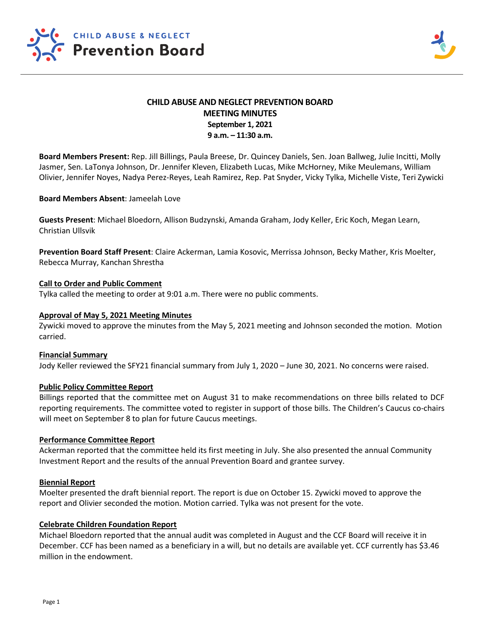

# **CHILD ABUSE AND NEGLECT PREVENTION BOARD MEETING MINUTES September 1, 2021 9 a.m. – 11:30 a.m.**

**Board Members Present:** Rep. Jill Billings, Paula Breese, Dr. Quincey Daniels, Sen. Joan Ballweg, Julie Incitti, Molly Jasmer, Sen. LaTonya Johnson, Dr. Jennifer Kleven, Elizabeth Lucas, Mike McHorney, Mike Meulemans, William Olivier, Jennifer Noyes, Nadya Perez-Reyes, Leah Ramirez, Rep. Pat Snyder, Vicky Tylka, Michelle Viste, Teri Zywicki

# **Board Members Absent**: Jameelah Love

**Guests Present**: Michael Bloedorn, Allison Budzynski, Amanda Graham, Jody Keller, Eric Koch, Megan Learn, Christian Ullsvik

**Prevention Board Staff Present**: Claire Ackerman, Lamia Kosovic, Merrissa Johnson, Becky Mather, Kris Moelter, Rebecca Murray, Kanchan Shrestha

# **Call to Order and Public Comment**

Tylka called the meeting to order at 9:01 a.m. There were no public comments.

### **Approval of May 5, 2021 Meeting Minutes**

Zywicki moved to approve the minutes from the May 5, 2021 meeting and Johnson seconded the motion. Motion carried.

### **Financial Summary**

Jody Keller reviewed the SFY21 financial summary from July 1, 2020 – June 30, 2021. No concerns were raised.

### **Public Policy Committee Report**

Billings reported that the committee met on August 31 to make recommendations on three bills related to DCF reporting requirements. The committee voted to register in support of those bills. The Children's Caucus co-chairs will meet on September 8 to plan for future Caucus meetings.

### **Performance Committee Report**

Ackerman reported that the committee held its first meeting in July. She also presented the annual Community Investment Report and the results of the annual Prevention Board and grantee survey.

### **Biennial Report**

Moelter presented the draft biennial report. The report is due on October 15. Zywicki moved to approve the report and Olivier seconded the motion. Motion carried. Tylka was not present for the vote.

### **Celebrate Children Foundation Report**

Michael Bloedorn reported that the annual audit was completed in August and the CCF Board will receive it in December. CCF has been named as a beneficiary in a will, but no details are available yet. CCF currently has \$3.46 million in the endowment.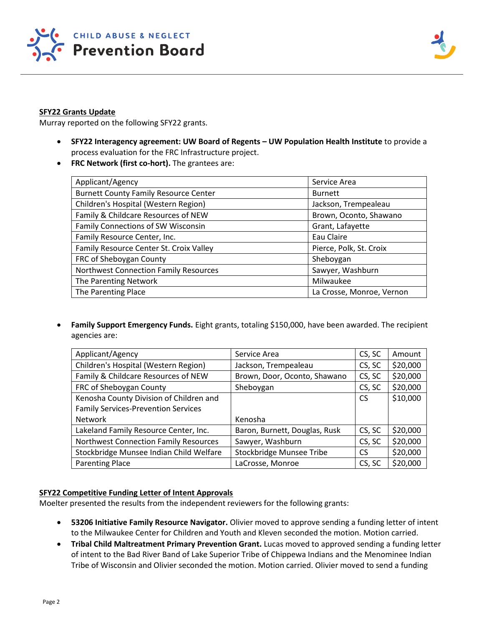

# **SFY22 Grants Update**

Murray reported on the following SFY22 grants.

- **SFY22 Interagency agreement: UW Board of Regents – UW Population Health Institute** to provide a process evaluation for the FRC Infrastructure project.
- **FRC Network (first co-hort).** The grantees are:

| Applicant/Agency                             | Service Area              |  |
|----------------------------------------------|---------------------------|--|
| <b>Burnett County Family Resource Center</b> | <b>Burnett</b>            |  |
| Children's Hospital (Western Region)         | Jackson, Trempealeau      |  |
| Family & Childcare Resources of NEW          | Brown, Oconto, Shawano    |  |
| Family Connections of SW Wisconsin           | Grant, Lafayette          |  |
| Family Resource Center, Inc.                 | Eau Claire                |  |
| Family Resource Center St. Croix Valley      | Pierce, Polk, St. Croix   |  |
| FRC of Sheboygan County                      | Sheboygan                 |  |
| <b>Northwest Connection Family Resources</b> | Sawyer, Washburn          |  |
| The Parenting Network                        | Milwaukee                 |  |
| The Parenting Place                          | La Crosse, Monroe, Vernon |  |

• **Family Support Emergency Funds.** Eight grants, totaling \$150,000, have been awarded. The recipient agencies are:

| Applicant/Agency                             | Service Area                  | CS, SC    | Amount   |
|----------------------------------------------|-------------------------------|-----------|----------|
| Children's Hospital (Western Region)         | Jackson, Trempealeau          | CS, SC    | \$20,000 |
| Family & Childcare Resources of NEW          | Brown, Door, Oconto, Shawano  | CS, SC    | \$20,000 |
| FRC of Sheboygan County                      | Sheboygan                     | CS, SC    | \$20,000 |
| Kenosha County Division of Children and      |                               | <b>CS</b> | \$10,000 |
| <b>Family Services-Prevention Services</b>   |                               |           |          |
| <b>Network</b>                               | Kenosha                       |           |          |
| Lakeland Family Resource Center, Inc.        | Baron, Burnett, Douglas, Rusk | CS, SC    | \$20,000 |
| <b>Northwest Connection Family Resources</b> | Sawyer, Washburn              | CS, SC    | \$20,000 |
| Stockbridge Munsee Indian Child Welfare      | Stockbridge Munsee Tribe      | CS.       | \$20,000 |
| <b>Parenting Place</b>                       | LaCrosse, Monroe              | CS, SC    | \$20,000 |

# **SFY22 Competitive Funding Letter of Intent Approvals**

Moelter presented the results from the independent reviewers for the following grants:

- **53206 Initiative Family Resource Navigator.** Olivier moved to approve sending a funding letter of intent to the Milwaukee Center for Children and Youth and Kleven seconded the motion. Motion carried.
- **Tribal Child Maltreatment Primary Prevention Grant.** Lucas moved to approved sending a funding letter of intent to the Bad River Band of Lake Superior Tribe of Chippewa Indians and the Menominee Indian Tribe of Wisconsin and Olivier seconded the motion. Motion carried. Olivier moved to send a funding